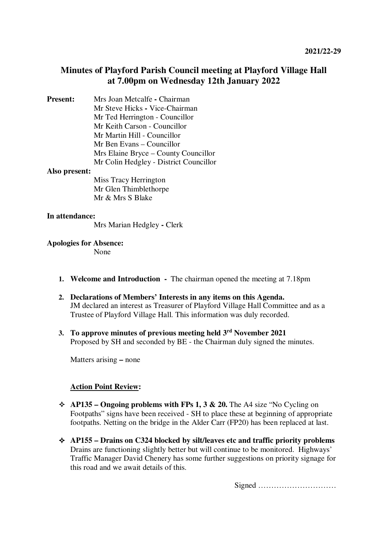# **Minutes of Playford Parish Council meeting at Playford Village Hall at 7.00pm on Wednesday 12th January 2022**

**Present:** Mrs Joan Metcalfe **-** Chairman Mr Steve Hicks **-** Vice-Chairman Mr Ted Herrington - Councillor Mr Keith Carson - Councillor Mr Martin Hill - Councillor Mr Ben Evans – Councillor Mrs Elaine Bryce – County Councillor Mr Colin Hedgley - District Councillor

#### **Also present:**

Miss Tracy Herrington Mr Glen Thimblethorpe Mr & Mrs S Blake

#### **In attendance:**

Mrs Marian Hedgley **-** Clerk

**Apologies for Absence:** 

None

- **1. Welcome and Introduction** The chairman opened the meeting at 7.18pm
- **2. Declarations of Members' Interests in any items on this Agenda.**  JM declared an interest as Treasurer of Playford Village Hall Committee and as a Trustee of Playford Village Hall. This information was duly recorded.
- **3. To approve minutes of previous meeting held 3rd November 2021**  Proposed by SH and seconded by BE - the Chairman duly signed the minutes.

Matters arising **–** none

# **Action Point Review:**

- $\triangle$  AP135 Ongoing problems with FPs 1, 3 & 20. The A4 size "No Cycling on Footpaths" signs have been received - SH to place these at beginning of appropriate footpaths. Netting on the bridge in the Alder Carr (FP20) has been replaced at last.
- **AP155 Drains on C324 blocked by silt/leaves etc and traffic priority problems** Drains are functioning slightly better but will continue to be monitored. Highways' Traffic Manager David Chenery has some further suggestions on priority signage for this road and we await details of this.

Signed …………………………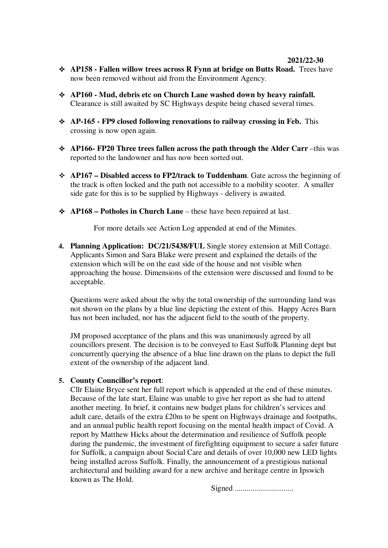#### **2021/22-30**

- **AP158 Fallen willow trees across R Fynn at bridge on Butts Road.** Trees have now been removed without aid from the Environment Agency.
- **AP160 Mud, debris etc on Church Lane washed down by heavy rainfall.**  Clearance is still awaited by SC Highways despite being chased several times.
- **AP-165 FP9 closed following renovations to railway crossing in Feb.** This crossing is now open again.
- ◆ AP166- FP20 Three trees fallen across the path through the Alder Carr –this was reported to the landowner and has now been sorted out.
- **AP167 Disabled access to FP2/track to Tuddenham**. Gate across the beginning of the track is often locked and the path not accessible to a mobility scooter. A smaller side gate for this is to be supplied by Highways - delivery is awaited.
- **AP168 Potholes in Church Lane** these have been repaired at last.

For more details see Action Log appended at end of the Minutes.

**4. Planning Application: DC/21/5438/FUL** Single storey extension at Mill Cottage. Applicants Simon and Sara Blake were present and explained the details of the extension which will be on the east side of the house and not visible when approaching the house. Dimensions of the extension were discussed and found to be acceptable.

Questions were asked about the why the total ownership of the surrounding land was not shown on the plans by a blue line depicting the extent of this. Happy Acres Barn has not been included, nor has the adjacent field to the south of the property.

JM proposed acceptance of the plans and this was unanimously agreed by all councillors present. The decision is to be conveyed to East Suffolk Planning dept but concurrently querying the absence of a blue line drawn on the plans to depict the full extent of the ownership of the adjacent land.

### **5. County Councillor's report**:

Cllr Elaine Bryce sent her full report which is appended at the end of these minutes. Because of the late start, Elaine was unable to give her report as she had to attend another meeting. In brief, it contains new budget plans for children's services and adult care, details of the extra £20m to be spent on Highways drainage and footpaths, and an annual public health report focusing on the mental health impact of Covid. A report by Matthew Hicks about the determination and resilience of Suffolk people during the pandemic, the investment of firefighting equipment to secure a safer future for Suffolk, a campaign about Social Care and details of over 10,000 new LED lights being installed across Suffolk. Finally, the announcement of a prestigious national architectural and building award for a new archive and heritage centre in Ipswich known as The Hold.

Signed ..............................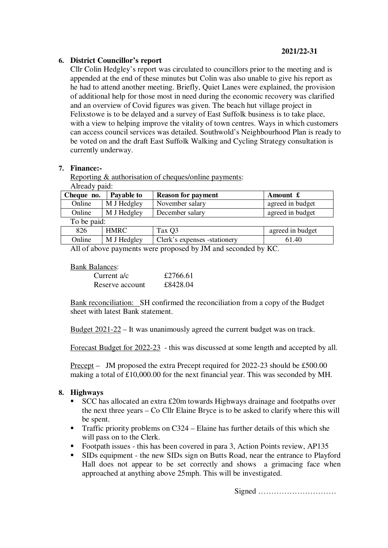# **6. District Councillor's report**

Cllr Colin Hedgley's report was circulated to councillors prior to the meeting and is appended at the end of these minutes but Colin was also unable to give his report as he had to attend another meeting. Briefly, Quiet Lanes were explained, the provision of additional help for those most in need during the economic recovery was clarified and an overview of Covid figures was given. The beach hut village project in Felixstowe is to be delayed and a survey of East Suffolk business is to take place, with a view to helping improve the vitality of town centres. Ways in which customers can access council services was detailed. Southwold's Neighbourhood Plan is ready to be voted on and the draft East Suffolk Walking and Cycling Strategy consultation is currently underway.

# **7. Finance:-**

Reporting & authorisation of cheques/online payments: Already paid:

| All cause palu. |             |                           |                  |
|-----------------|-------------|---------------------------|------------------|
| Cheque no.      | Payable to  | <b>Reason for payment</b> | Amount £         |
| Online          | M J Hedgley | November salary           | agreed in budget |
| Online          | M J Hedgley | December salary           | agreed in budget |
| To be paid:     |             |                           |                  |
| 826             | <b>HMRC</b> | Tax Q3                    | agreed in budget |

All of above payments were proposed by JM and seconded by KC.

Online M J Hedgley Clerk's expenses -stationery 61.40

#### Bank Balances:

| Current $a/c$   | £2766.61 |
|-----------------|----------|
| Reserve account | £8428.04 |

Bank reconciliation: SH confirmed the reconciliation from a copy of the Budget sheet with latest Bank statement.

Budget 2021-22 – It was unanimously agreed the current budget was on track.

Forecast Budget for 2022-23 - this was discussed at some length and accepted by all.

Precept – JM proposed the extra Precept required for 2022-23 should be £500.00 making a total of £10,000.00 for the next financial year. This was seconded by MH.

### **8. Highways**

- SCC has allocated an extra £20m towards Highways drainage and footpaths over the next three years – Co Cllr Elaine Bryce is to be asked to clarify where this will be spent.
- **Traffic priority problems on C324 Elaine has further details of this which she** will pass on to the Clerk.
- Footpath issues this has been covered in para 3, Action Points review, AP135
- SIDs equipment the new SIDs sign on Butts Road, near the entrance to Playford Hall does not appear to be set correctly and shows a grimacing face when approached at anything above 25mph. This will be investigated.

Signed …………………………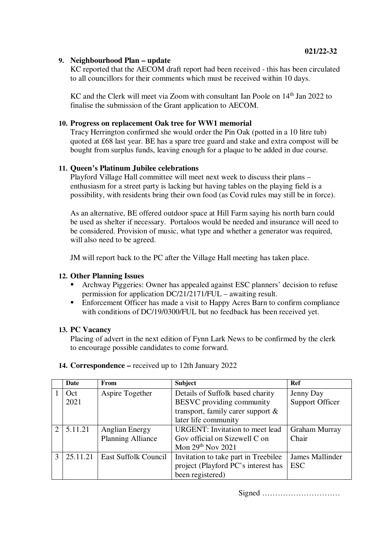# **9. Neighbourhood Plan – update**

KC reported that the AECOM draft report had been received - this has been circulated to all councillors for their comments which must be received within 10 days.

KC and the Clerk will meet via Zoom with consultant Ian Poole on  $14<sup>th</sup>$  Jan 2022 to finalise the submission of the Grant application to AECOM.

### **10. Progress on replacement Oak tree for WW1 memorial**

Tracy Herrington confirmed she would order the Pin Oak (potted in a 10 litre tub) quoted at £68 last year. BE has a spare tree guard and stake and extra compost will be bought from surplus funds, leaving enough for a plaque to be added in due course.

## **11. Queen's Platinum Jubilee celebrations**

Playford Village Hall committee will meet next week to discuss their plans – enthusiasm for a street party is lacking but having tables on the playing field is a possibility, with residents bring their own food (as Covid rules may still be in force).

As an alternative, BE offered outdoor space at Hill Farm saying his north barn could be used as shelter if necessary. Portaloos would be needed and insurance will need to be considered. Provision of music, what type and whether a generator was required, will also need to be agreed.

JM will report back to the PC after the Village Hall meeting has taken place.

### **12. Other Planning Issues**

- Archway Piggeries: Owner has appealed against ESC planners' decision to refuse permission for application DC/21/2171/FUL – awaiting result.
- Enforcement Officer has made a visit to Happy Acres Barn to confirm compliance with conditions of DC/19/0300/FUL but no feedback has been received yet.

### **13. PC Vacancy**

Placing of advert in the next edition of Fynn Lark News to be confirmed by the clerk to encourage possible candidates to come forward.

### **14. Correspondence –** received up to 12th January 2022

|                             | <b>Date</b> | From                        | <b>Subject</b>                         | Ref                  |
|-----------------------------|-------------|-----------------------------|----------------------------------------|----------------------|
|                             | Oct         | Aspire Together             | Details of Suffolk based charity       | Jenny Day            |
|                             | 2021        |                             | BESVC providing community              | Support Officer      |
|                             |             |                             | transport, family carer support $\&$   |                      |
|                             |             |                             | later life community                   |                      |
| $\mathcal{D}_{\mathcal{L}}$ | 5.11.21     | <b>Anglian Energy</b>       | <b>URGENT:</b> Invitation to meet lead | <b>Graham Murray</b> |
|                             |             | <b>Planning Alliance</b>    | Gov official on Sizewell C on          | Chair                |
|                             |             |                             | Mon $29th$ Nov $2021$                  |                      |
| $\mathbf{z}$                | 25.11.21    | <b>East Suffolk Council</b> | Invitation to take part in Treebilee   | James Mallinder      |
|                             |             |                             | project (Playford PC's interest has    | <b>ESC</b>           |
|                             |             |                             | been registered)                       |                      |

Signed …………………………